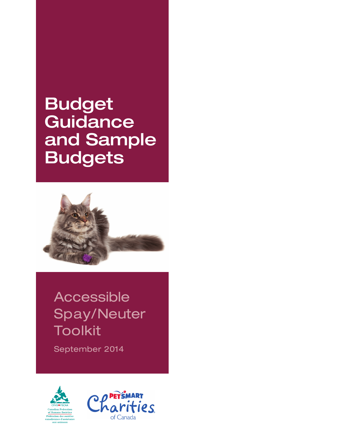# Budget **Guidance** and Sample **Budgets**



## Accessible Spay/Neuter Toolkit

September 2014